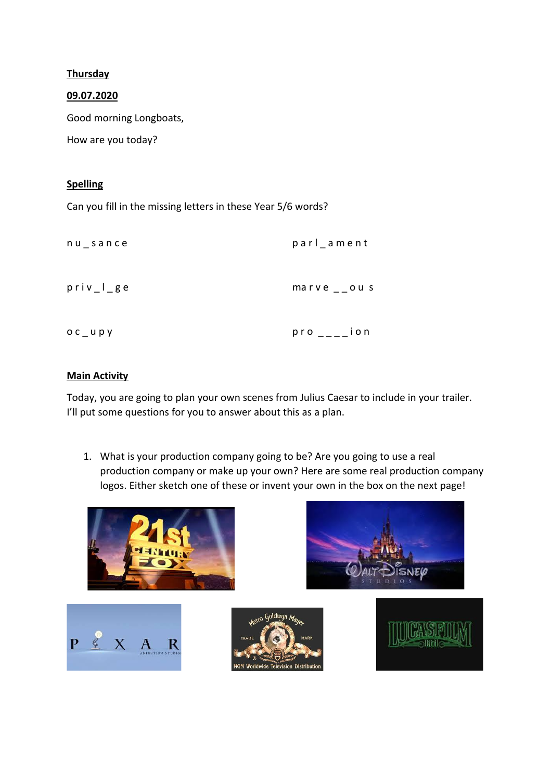## **Thursday**

## 09.07.2020

Good morning Longboats,

How are you today?

## Spelling

Can you fill in the missing letters in these Year 5/6 words?

| $nu$ sance  | parl_ament            |
|-------------|-----------------------|
| $priv_l$ ge | marve $\sqrt{2}$ ou s |
| $OC_$ upy   | $pro$ ____ion         |

## Main Activity

Today, you are going to plan your own scenes from Julius Caesar to include in your trailer. I'll put some questions for you to answer about this as a plan.

1. What is your production company going to be? Are you going to use a real production company or make up your own? Here are some real production company logos. Either sketch one of these or invent your own in the box on the next page!

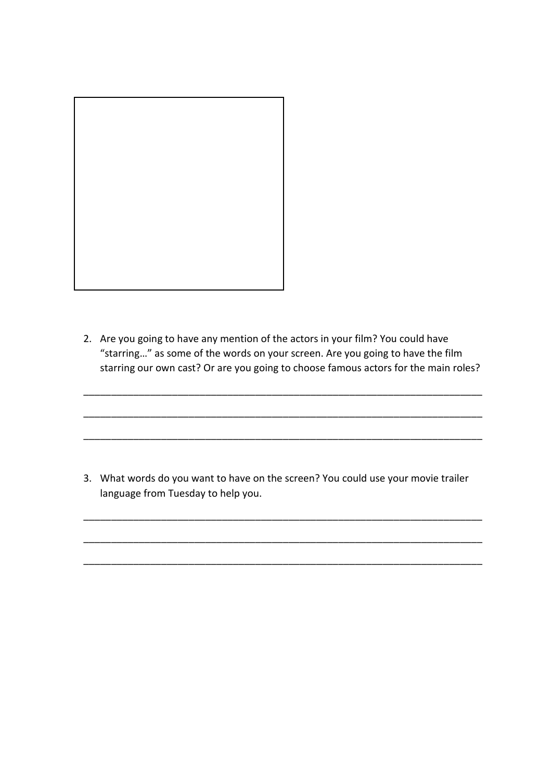

2. Are you going to have any mention of the actors in your film? You could have "starring…" as some of the words on your screen. Are you going to have the film starring our own cast? Or are you going to choose famous actors for the main roles?

\_\_\_\_\_\_\_\_\_\_\_\_\_\_\_\_\_\_\_\_\_\_\_\_\_\_\_\_\_\_\_\_\_\_\_\_\_\_\_\_\_\_\_\_\_\_\_\_\_\_\_\_\_\_\_\_\_\_\_\_\_\_\_\_\_\_\_\_\_\_\_\_

\_\_\_\_\_\_\_\_\_\_\_\_\_\_\_\_\_\_\_\_\_\_\_\_\_\_\_\_\_\_\_\_\_\_\_\_\_\_\_\_\_\_\_\_\_\_\_\_\_\_\_\_\_\_\_\_\_\_\_\_\_\_\_\_\_\_\_\_\_\_\_\_

\_\_\_\_\_\_\_\_\_\_\_\_\_\_\_\_\_\_\_\_\_\_\_\_\_\_\_\_\_\_\_\_\_\_\_\_\_\_\_\_\_\_\_\_\_\_\_\_\_\_\_\_\_\_\_\_\_\_\_\_\_\_\_\_\_\_\_\_\_\_\_\_

3. What words do you want to have on the screen? You could use your movie trailer language from Tuesday to help you.

\_\_\_\_\_\_\_\_\_\_\_\_\_\_\_\_\_\_\_\_\_\_\_\_\_\_\_\_\_\_\_\_\_\_\_\_\_\_\_\_\_\_\_\_\_\_\_\_\_\_\_\_\_\_\_\_\_\_\_\_\_\_\_\_\_\_\_\_\_\_\_\_

\_\_\_\_\_\_\_\_\_\_\_\_\_\_\_\_\_\_\_\_\_\_\_\_\_\_\_\_\_\_\_\_\_\_\_\_\_\_\_\_\_\_\_\_\_\_\_\_\_\_\_\_\_\_\_\_\_\_\_\_\_\_\_\_\_\_\_\_\_\_\_\_

\_\_\_\_\_\_\_\_\_\_\_\_\_\_\_\_\_\_\_\_\_\_\_\_\_\_\_\_\_\_\_\_\_\_\_\_\_\_\_\_\_\_\_\_\_\_\_\_\_\_\_\_\_\_\_\_\_\_\_\_\_\_\_\_\_\_\_\_\_\_\_\_